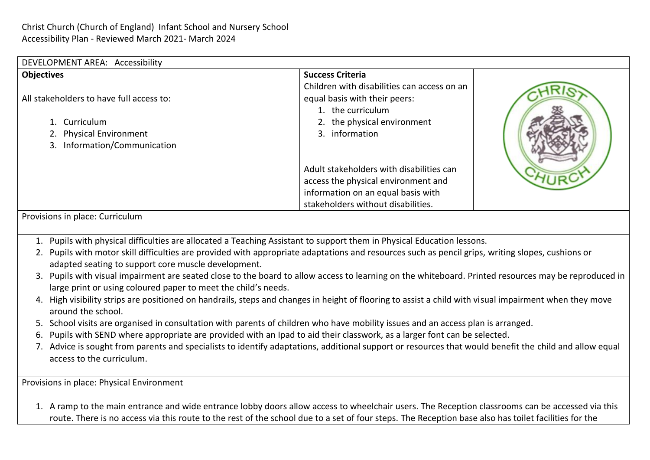| DEVELOPMENT AREA: Accessibility          |                              |                                                                                                   |  |
|------------------------------------------|------------------------------|---------------------------------------------------------------------------------------------------|--|
| <b>Objectives</b>                        |                              | <b>Success Criteria</b>                                                                           |  |
| All stakeholders to have full access to: |                              | Children with disabilities can access on an<br>equal basis with their peers:<br>1. the curriculum |  |
|                                          | 1. Curriculum                | 2. the physical environment                                                                       |  |
|                                          | 2. Physical Environment      | 3. information                                                                                    |  |
|                                          | 3. Information/Communication |                                                                                                   |  |
|                                          |                              | Adult stakeholders with disabilities can                                                          |  |
|                                          |                              | access the physical environment and                                                               |  |
|                                          |                              | information on an equal basis with                                                                |  |
|                                          |                              | stakeholders without disabilities.                                                                |  |

Provisions in place: Curriculum

- 1. Pupils with physical difficulties are allocated a Teaching Assistant to support them in Physical Education lessons.
- 2. Pupils with motor skill difficulties are provided with appropriate adaptations and resources such as pencil grips, writing slopes, cushions or adapted seating to support core muscle development.
- 3. Pupils with visual impairment are seated close to the board to allow access to learning on the whiteboard. Printed resources may be reproduced in large print or using coloured paper to meet the child's needs.
- 4. High visibility strips are positioned on handrails, steps and changes in height of flooring to assist a child with visual impairment when they move around the school.
- 5. School visits are organised in consultation with parents of children who have mobility issues and an access plan is arranged.
- 6. Pupils with SEND where appropriate are provided with an Ipad to aid their classwork, as a larger font can be selected.
- 7. Advice is sought from parents and specialists to identify adaptations, additional support or resources that would benefit the child and allow equal access to the curriculum.

Provisions in place: Physical Environment

1. A ramp to the main entrance and wide entrance lobby doors allow access to wheelchair users. The Reception classrooms can be accessed via this route. There is no access via this route to the rest of the school due to a set of four steps. The Reception base also has toilet facilities for the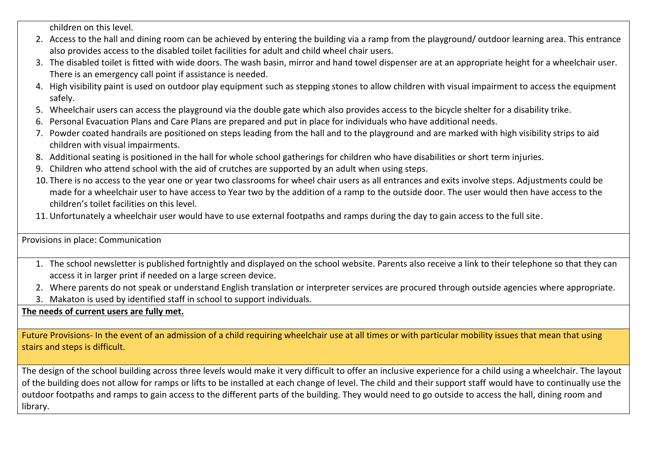children on this level.

- 2. Access to the hall and dining room can be achieved by entering the building via a ramp from the playground/ outdoor learning area. This entrance also provides access to the disabled toilet facilities for adult and child wheel chair users.
- 3. The disabled toilet is fitted with wide doors. The wash basin, mirror and hand towel dispenser are at an appropriate height for a wheelchair user. There is an emergency call point if assistance is needed.
- 4. High visibility paint is used on outdoor play equipment such as stepping stones to allow children with visual impairment to access the equipment safely.
- 5. Wheelchair users can access the playground via the double gate which also provides access to the bicycle shelter for a disability trike.
- 6. Personal Evacuation Plans and Care Plans are prepared and put in place for individuals who have additional needs.
- 7. Powder coated handrails are positioned on steps leading from the hall and to the playground and are marked with high visibility strips to aid children with visual impairments.
- 8. Additional seating is positioned in the hall for whole school gatherings for children who have disabilities or short term injuries.
- 9. Children who attend school with the aid of crutches are supported by an adult when using steps.
- 10. There is no access to the year one or year two classrooms for wheel chair users as all entrances and exits involve steps. Adjustments could be made for a wheelchair user to have access to Year two by the addition of a ramp to the outside door. The user would then have access to the children's toilet facilities on this level.
- 11. Unfortunately a wheelchair user would have to use external footpaths and ramps during the day to gain access to the full site.

Provisions in place: Communication

- 1. The school newsletter is published fortnightly and displayed on the school website. Parents also receive a link to their telephone so that they can access it in larger print if needed on a large screen device.
- 2. Where parents do not speak or understand English translation or interpreter services are procured through outside agencies where appropriate.
- 3. Makaton is used by identified staff in school to support individuals.

**The needs of current users are fully met.**

Future Provisions- In the event of an admission of a child requiring wheelchair use at all times or with particular mobility issues that mean that using stairs and steps is difficult.

The design of the school building across three levels would make it very difficult to offer an inclusive experience for a child using a wheelchair. The layout of the building does not allow for ramps or lifts to be installed at each change of level. The child and their support staff would have to continually use the outdoor footpaths and ramps to gain access to the different parts of the building. They would need to go outside to access the hall, dining room and library.